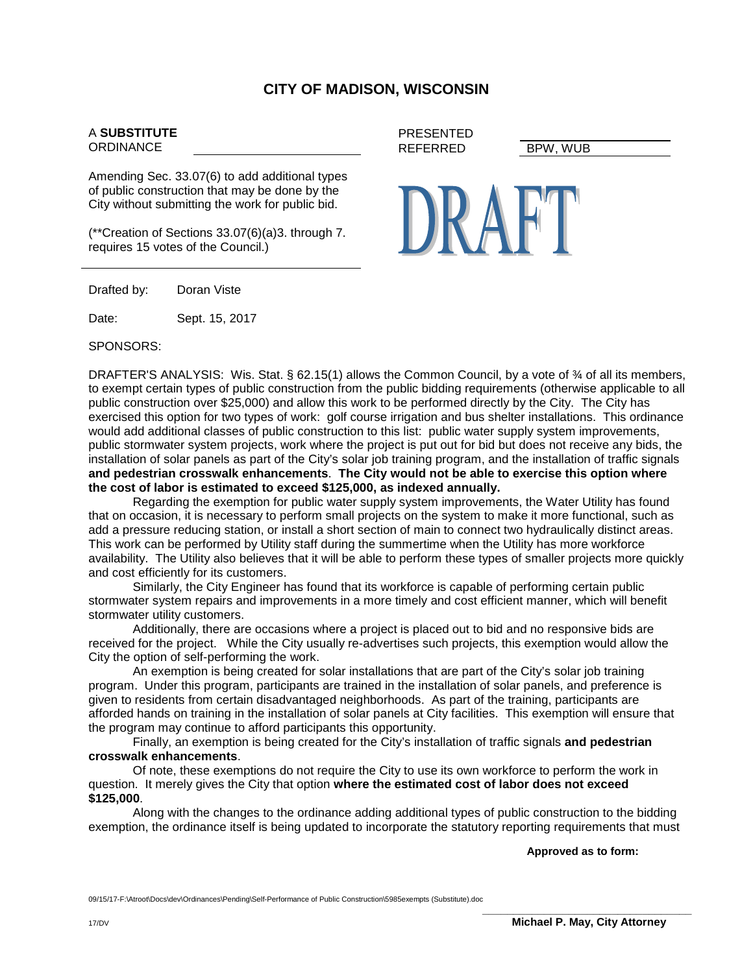## **CITY OF MADISON, WISCONSIN**

PRESENTED

## A **SUBSTITUTE ORDINANCE**

Amending Sec. 33.07(6) to add additional types of public construction that may be done by the City without submitting the work for public bid.

(\*\*Creation of Sections 33.07(6)(a)3. through 7. requires 15 votes of the Council.)

Drafted by: Doran Viste

Date: Sept. 15, 2017

SPONSORS:

DRAFTER'S ANALYSIS: Wis. Stat. § 62.15(1) allows the Common Council, by a vote of 3⁄4 of all its members, to exempt certain types of public construction from the public bidding requirements (otherwise applicable to all public construction over \$25,000) and allow this work to be performed directly by the City. The City has exercised this option for two types of work: golf course irrigation and bus shelter installations. This ordinance would add additional classes of public construction to this list: public water supply system improvements, public stormwater system projects, work where the project is put out for bid but does not receive any bids, the installation of solar panels as part of the City's solar job training program, and the installation of traffic signals **and pedestrian crosswalk enhancements**. **The City would not be able to exercise this option where the cost of labor is estimated to exceed \$125,000, as indexed annually.**

Regarding the exemption for public water supply system improvements, the Water Utility has found that on occasion, it is necessary to perform small projects on the system to make it more functional, such as add a pressure reducing station, or install a short section of main to connect two hydraulically distinct areas. This work can be performed by Utility staff during the summertime when the Utility has more workforce availability. The Utility also believes that it will be able to perform these types of smaller projects more quickly and cost efficiently for its customers.

Similarly, the City Engineer has found that its workforce is capable of performing certain public stormwater system repairs and improvements in a more timely and cost efficient manner, which will benefit stormwater utility customers.

Additionally, there are occasions where a project is placed out to bid and no responsive bids are received for the project. While the City usually re-advertises such projects, this exemption would allow the City the option of self-performing the work.

An exemption is being created for solar installations that are part of the City's solar job training program. Under this program, participants are trained in the installation of solar panels, and preference is given to residents from certain disadvantaged neighborhoods. As part of the training, participants are afforded hands on training in the installation of solar panels at City facilities. This exemption will ensure that the program may continue to afford participants this opportunity.

Finally, an exemption is being created for the City's installation of traffic signals **and pedestrian crosswalk enhancements**.

Of note, these exemptions do not require the City to use its own workforce to perform the work in question. It merely gives the City that option **where the estimated cost of labor does not exceed \$125,000**.

Along with the changes to the ordinance adding additional types of public construction to the bidding exemption, the ordinance itself is being updated to incorporate the statutory reporting requirements that must

**Approved as to form:**

09/15/17-F:\Atroot\Docs\dev\Ordinances\Pending\Self-Performance of Public Construction\5985exempts (Substitute).doc





REFERRED BPW, WUB